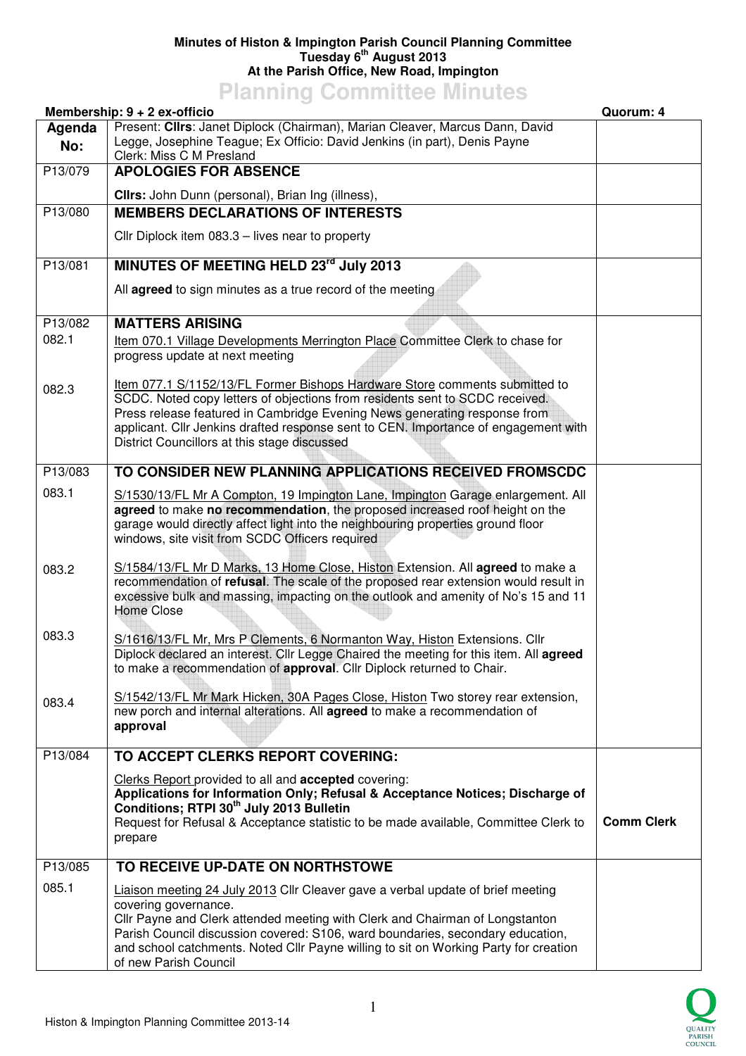## **Minutes of Histon & Impington Parish Council Planning Committee Tuesday 6th August 2013 At the Parish Office, New Road, Impington**

## **Planning Committee Minutes**

| Membership: 9 + 2 ex-officio |                                                                                                                                                                                                                                                                                                                                                                                            | Quorum: 4         |
|------------------------------|--------------------------------------------------------------------------------------------------------------------------------------------------------------------------------------------------------------------------------------------------------------------------------------------------------------------------------------------------------------------------------------------|-------------------|
| Agenda<br>No:                | Present: Cllrs: Janet Diplock (Chairman), Marian Cleaver, Marcus Dann, David<br>Legge, Josephine Teague; Ex Officio: David Jenkins (in part), Denis Payne<br>Clerk: Miss C M Presland                                                                                                                                                                                                      |                   |
| P13/079                      | <b>APOLOGIES FOR ABSENCE</b>                                                                                                                                                                                                                                                                                                                                                               |                   |
|                              | Cllrs: John Dunn (personal), Brian Ing (illness),                                                                                                                                                                                                                                                                                                                                          |                   |
| P13/080                      | <b>MEMBERS DECLARATIONS OF INTERESTS</b>                                                                                                                                                                                                                                                                                                                                                   |                   |
|                              | Cllr Diplock item 083.3 - lives near to property                                                                                                                                                                                                                                                                                                                                           |                   |
| P13/081                      | MINUTES OF MEETING HELD 23rd July 2013                                                                                                                                                                                                                                                                                                                                                     |                   |
|                              | All agreed to sign minutes as a true record of the meeting                                                                                                                                                                                                                                                                                                                                 |                   |
| P13/082                      | <b>MATTERS ARISING</b>                                                                                                                                                                                                                                                                                                                                                                     |                   |
| 082.1                        | Item 070.1 Village Developments Merrington Place Committee Clerk to chase for<br>progress update at next meeting                                                                                                                                                                                                                                                                           |                   |
| 082.3                        | Item 077.1 S/1152/13/FL Former Bishops Hardware Store comments submitted to<br>SCDC. Noted copy letters of objections from residents sent to SCDC received.<br>Press release featured in Cambridge Evening News generating response from<br>applicant. Cllr Jenkins drafted response sent to CEN. Importance of engagement with<br>District Councillors at this stage discussed            |                   |
| P13/083                      | TO CONSIDER NEW PLANNING APPLICATIONS RECEIVED FROMSCDC                                                                                                                                                                                                                                                                                                                                    |                   |
| 083.1                        | S/1530/13/FL Mr A Compton, 19 Impington Lane, Impington Garage enlargement. All<br>agreed to make no recommendation, the proposed increased roof height on the<br>garage would directly affect light into the neighbouring properties ground floor<br>windows, site visit from SCDC Officers required                                                                                      |                   |
| 083.2                        | S/1584/13/FL Mr D Marks, 13 Home Close, Histon Extension. All agreed to make a<br>recommendation of refusal. The scale of the proposed rear extension would result in<br>excessive bulk and massing, impacting on the outlook and amenity of No's 15 and 11<br><b>Home Close</b>                                                                                                           |                   |
| 083.3                        | S/1616/13/FL Mr, Mrs P Clements, 6 Normanton Way, Histon Extensions. Cllr<br>Diplock declared an interest. Cllr Legge Chaired the meeting for this item. All agreed<br>to make a recommendation of approval. Cllr Diplock returned to Chair.                                                                                                                                               |                   |
| 083.4                        | S/1542/13/FL Mr Mark Hicken, 30A Pages Close, Histon Two storey rear extension,<br>new porch and internal alterations. All agreed to make a recommendation of<br>approval                                                                                                                                                                                                                  |                   |
| P13/084                      | TO ACCEPT CLERKS REPORT COVERING:                                                                                                                                                                                                                                                                                                                                                          |                   |
|                              | Clerks Report provided to all and accepted covering:<br>Applications for Information Only; Refusal & Acceptance Notices; Discharge of<br>Conditions; RTPI 30 <sup>th</sup> July 2013 Bulletin<br>Request for Refusal & Acceptance statistic to be made available, Committee Clerk to<br>prepare                                                                                            | <b>Comm Clerk</b> |
| P13/085                      | TO RECEIVE UP-DATE ON NORTHSTOWE                                                                                                                                                                                                                                                                                                                                                           |                   |
| 085.1                        | Liaison meeting 24 July 2013 Cllr Cleaver gave a verbal update of brief meeting<br>covering governance.<br>Cllr Payne and Clerk attended meeting with Clerk and Chairman of Longstanton<br>Parish Council discussion covered: S106, ward boundaries, secondary education,<br>and school catchments. Noted Cllr Payne willing to sit on Working Party for creation<br>of new Parish Council |                   |